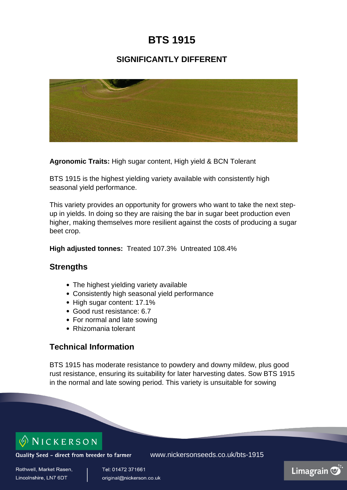## **BTS 1915**

### **SIGNIFICANTLY DIFFERENT**



**Agronomic Traits:** High sugar content, High yield & BCN Tolerant

BTS 1915 is the highest yielding variety available with consistently high seasonal yield performance.

This variety provides an opportunity for growers who want to take the next stepup in yields. In doing so they are raising the bar in sugar beet production even higher, making themselves more resilient against the costs of producing a sugar beet crop.

**High adjusted tonnes:** Treated 107.3% Untreated 108.4%

#### **Strengths**

- The highest yielding variety available
- Consistently high seasonal yield performance
- High sugar content: 17.1%
- Good rust resistance: 6.7
- For normal and late sowing
- Rhizomania tolerant

#### **Technical Information**

BTS 1915 has moderate resistance to powdery and downy mildew, plus good rust resistance, ensuring its suitability for later harvesting dates. Sow BTS 1915 in the normal and late sowing period. This variety is unsuitable for sowing

# $\circ$  NICKERSON

Quality Seed - direct from breeder to farmer

www.nickersonseeds.co.uk/bts-1915

Rothwell, Market Rasen. Lincolnshire, LN7 6DT

Tel: 01472 371661 original@nickerson.co.uk Limagrain  $\overline{\heartsuit}$